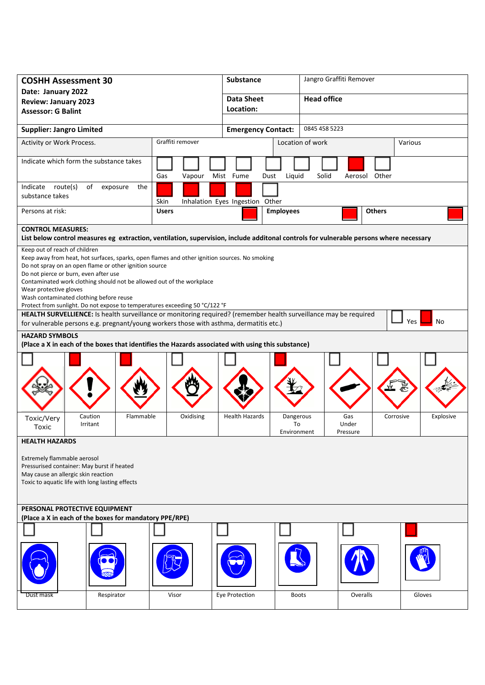| <b>COSHH Assessment 30</b>                                                                                                                                                                                                                                                                                                                                                                                                                                     |               | <b>Substance</b>                |                                            | Jangro Graffiti Remover  |               |           |  |
|----------------------------------------------------------------------------------------------------------------------------------------------------------------------------------------------------------------------------------------------------------------------------------------------------------------------------------------------------------------------------------------------------------------------------------------------------------------|---------------|---------------------------------|--------------------------------------------|--------------------------|---------------|-----------|--|
| Date: January 2022                                                                                                                                                                                                                                                                                                                                                                                                                                             |               | <b>Data Sheet</b>               |                                            | <b>Head office</b>       |               |           |  |
| <b>Review: January 2023</b><br><b>Assessor: G Balint</b>                                                                                                                                                                                                                                                                                                                                                                                                       |               | Location:                       |                                            |                          |               |           |  |
|                                                                                                                                                                                                                                                                                                                                                                                                                                                                |               |                                 |                                            |                          |               |           |  |
| <b>Supplier: Jangro Limited</b>                                                                                                                                                                                                                                                                                                                                                                                                                                |               |                                 | 0845 458 5223<br><b>Emergency Contact:</b> |                          |               |           |  |
| Graffiti remover<br>Activity or Work Process.                                                                                                                                                                                                                                                                                                                                                                                                                  |               |                                 | Location of work                           | Various                  |               |           |  |
| Indicate which form the substance takes                                                                                                                                                                                                                                                                                                                                                                                                                        | Gas<br>Vapour | Mist Fume<br>Dust               | Liquid                                     | Solid                    | Aerosol Other |           |  |
| Indicate route(s)<br>of<br>the<br>exposure<br>substance takes                                                                                                                                                                                                                                                                                                                                                                                                  | Skin          | Inhalation Eyes Ingestion Other |                                            |                          |               |           |  |
| Persons at risk:                                                                                                                                                                                                                                                                                                                                                                                                                                               | <b>Users</b>  |                                 | <b>Employees</b>                           |                          | <b>Others</b> |           |  |
| <b>CONTROL MEASURES:</b>                                                                                                                                                                                                                                                                                                                                                                                                                                       |               |                                 |                                            |                          |               |           |  |
| List below control measures eg extraction, ventilation, supervision, include additonal controls for vulnerable persons where necessary                                                                                                                                                                                                                                                                                                                         |               |                                 |                                            |                          |               |           |  |
| Keep out of reach of children<br>Keep away from heat, hot surfaces, sparks, open flames and other ignition sources. No smoking<br>Do not spray on an open flame or other ignition source<br>Do not pierce or burn, even after use<br>Contaminated work clothing should not be allowed out of the workplace<br>Wear protective gloves<br>Wash contaminated clothing before reuse<br>Protect from sunlight. Do not expose to temperatures exceeding 50 °C/122 °F |               |                                 |                                            |                          |               |           |  |
| HEALTH SURVELLIENCE: Is health surveillance or monitoring required? (remember health surveillance may be required<br>No<br>Yes                                                                                                                                                                                                                                                                                                                                 |               |                                 |                                            |                          |               |           |  |
| for vulnerable persons e.g. pregnant/young workers those with asthma, dermatitis etc.)<br><b>HAZARD SYMBOLS</b>                                                                                                                                                                                                                                                                                                                                                |               |                                 |                                            |                          |               |           |  |
| (Place a X in each of the boxes that identifies the Hazards associated with using this substance)                                                                                                                                                                                                                                                                                                                                                              |               |                                 |                                            |                          |               |           |  |
|                                                                                                                                                                                                                                                                                                                                                                                                                                                                |               |                                 |                                            |                          |               |           |  |
| Caution<br>Flammable<br>Toxic/Very<br>Irritant<br>Toxic                                                                                                                                                                                                                                                                                                                                                                                                        | Oxidising     | <b>Health Hazards</b>           | Dangerous<br>To<br>Environment             | Gas<br>Under<br>Pressure | Corrosive     | Explosive |  |
| <b>HEALTH HAZARDS</b>                                                                                                                                                                                                                                                                                                                                                                                                                                          |               |                                 |                                            |                          |               |           |  |
| Extremely flammable aerosol<br>Pressurised container: May burst if heated<br>May cause an allergic skin reaction<br>Toxic to aquatic life with long lasting effects                                                                                                                                                                                                                                                                                            |               |                                 |                                            |                          |               |           |  |
| PERSONAL PROTECTIVE EQUIPMENT<br>(Place a X in each of the boxes for mandatory PPE/RPE)                                                                                                                                                                                                                                                                                                                                                                        |               |                                 |                                            |                          |               |           |  |
|                                                                                                                                                                                                                                                                                                                                                                                                                                                                |               |                                 |                                            |                          |               |           |  |
|                                                                                                                                                                                                                                                                                                                                                                                                                                                                |               |                                 |                                            |                          |               |           |  |
| Respirator<br>Dust mask                                                                                                                                                                                                                                                                                                                                                                                                                                        | Visor         | Eye Protection                  | <b>Boots</b>                               | Overalls                 |               | Gloves    |  |